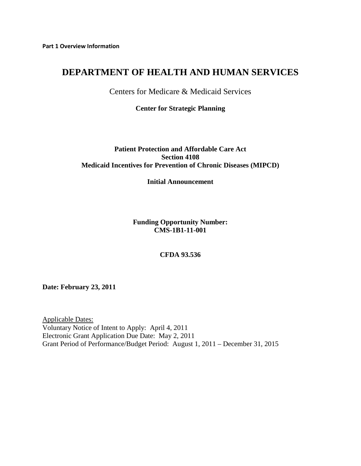# **DEPARTMENT OF HEALTH AND HUMAN SERVICES**

Centers for Medicare & Medicaid Services

**Center for Strategic Planning**

#### **Patient Protection and Affordable Care Act Section 4108 Medicaid Incentives for Prevention of Chronic Diseases (MIPCD)**

#### **Initial Announcement**

**Funding Opportunity Number: CMS-1B1-11-001**

**CFDA 93.536** 

**Date: February 23, 2011** 

Applicable Dates: Voluntary Notice of Intent to Apply: April 4, 2011 Electronic Grant Application Due Date: May 2, 2011 Grant Period of Performance/Budget Period: August 1, 2011 – December 31, 2015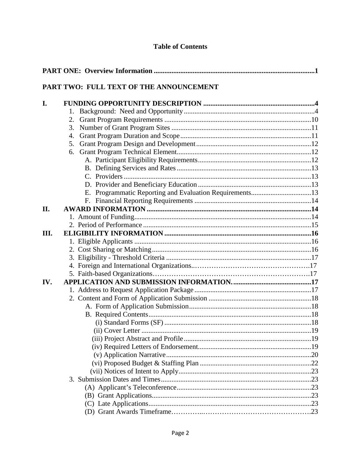## **Table of Contents**

| PART TWO: FULL TEXT OF THE ANNOUNCEMENT |  |  |  |
|-----------------------------------------|--|--|--|
|                                         |  |  |  |
| II.                                     |  |  |  |
| Ш.                                      |  |  |  |
| IV.                                     |  |  |  |
|                                         |  |  |  |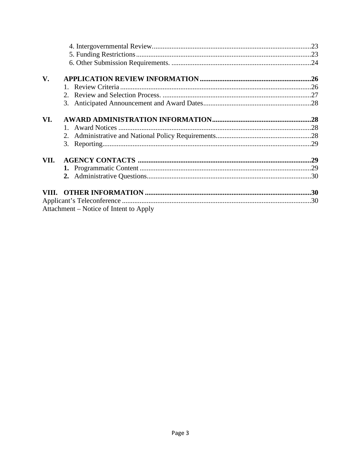| $V_{\bullet}$ |                                        |  |
|---------------|----------------------------------------|--|
|               |                                        |  |
|               |                                        |  |
|               |                                        |  |
|               |                                        |  |
| VI.           |                                        |  |
|               |                                        |  |
|               |                                        |  |
|               |                                        |  |
| VII.          |                                        |  |
|               |                                        |  |
|               |                                        |  |
|               |                                        |  |
|               |                                        |  |
|               |                                        |  |
|               | Attachment – Notice of Intent to Apply |  |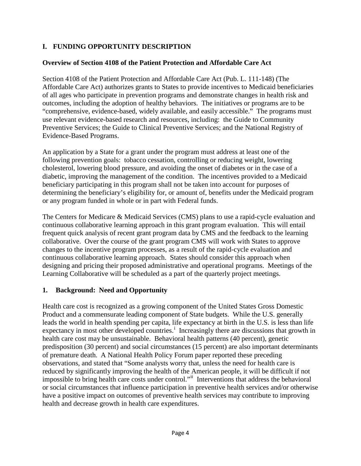## **I. FUNDING OPPORTUNITY DESCRIPTION**

#### **Overview of Section 4108 of the Patient Protection and Affordable Care Act**

Section 4108 of the Patient Protection and Affordable Care Act (Pub. L. 111-148) (The Affordable Care Act) authorizes grants to States to provide incentives to Medicaid beneficiaries of all ages who participate in prevention programs and demonstrate changes in health risk and outcomes, including the adoption of healthy behaviors. The initiatives or programs are to be "comprehensive, evidence-based, widely available, and easily accessible." The programs must use relevant evidence-based research and resources, including: the Guide to Community Preventive Services; the Guide to Clinical Preventive Services; and the National Registry of Evidence-Based Programs.

An application by a State for a grant under the program must address at least one of the following prevention goals: tobacco cessation, controlling or reducing weight, lowering cholesterol, lowering blood pressure, and avoiding the onset of diabetes or in the case of a diabetic, improving the management of the condition. The incentives provided to a Medicaid beneficiary participating in this program shall not be taken into account for purposes of determining the beneficiary's eligibility for, or amount of, benefits under the Medicaid program or any program funded in whole or in part with Federal funds.

The Centers for Medicare & Medicaid Services (CMS) plans to use a rapid-cycle evaluation and continuous collaborative learning approach in this grant program evaluation. This will entail frequent quick analysis of recent grant program data by CMS and the feedback to the learning collaborative. Over the course of the grant program CMS will work with States to approve changes to the incentive program processes, as a result of the rapid-cycle evaluation and continuous collaborative learning approach. States should consider this approach when designing and pricing their proposed administrative and operational programs. Meetings of the Learning Collaborative will be scheduled as a part of the quarterly project meetings.

#### **1. Background: Need and Opportunity**

Health care cost is recognized as a growing component of the United States Gross Domestic Product and a commensurate leading component of State budgets. While the U.S. generally leads the world in health spending per capita, life expectancy at birth in the U.S. is less than life expectancy [i](#page-29-0)n most other developed countries.<sup>1</sup> Increasingly there are discussions that growth in health care cost may be unsustainable. Behavioral health patterns (40 percent), genetic predisposition (30 percent) and social circumstances (15 percent) are also important determinants of premature death. A National Health Policy Forum paper reported these preceding observations, and stated that "Some analysts worry that, unless the need for health care is reduced by significantly improving the health of the American people, it will be difficult if not impossible to bring health care costs under control."[ii](#page-29-1) Interventions that address the behavioral or social circumstances that influence participation in preventive health services and/or otherwise have a positive impact on outcomes of preventive health services may contribute to improving health and decrease growth in health care expenditures.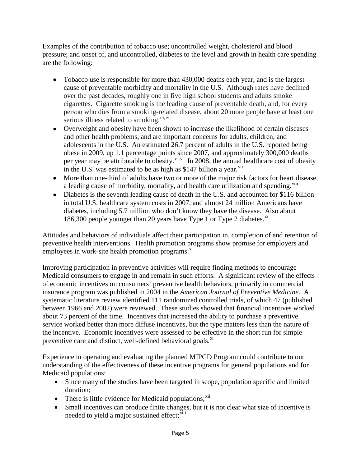Examples of the contribution of tobacco use; uncontrolled weight, cholesterol and blood pressure; and onset of, and uncontrolled, diabetes to the level and growth in health care spending are the following:

- Tobacco use is responsible for more than 430,000 deaths each year, and is the largest cause of preventable morbidity and mortality in the U.S. Although rates have declined over the past decades, roughly one in five high school students and adults smoke cigarettes. Cigarette smoking is the leading cause of preventable death, and, for every person who dies from a smoking-related disease, about 20 more people have at least one serious illness related to smoking.<sup>[iii](#page-29-2),[iv](#page-29-3)</sup>
- Overweight and obesity have been shown to increase the likelihood of certain diseases and other health problems, and are important concerns for adults, children, and adolescents in the U.S. An estimated 26.7 percent of adults in the U.S. reported being obese in 2009, up 1.1 percentage points since 2007, and approximately 300,000 deaths per year may be attributable to obesity.<sup> $v, vi$  $v, vi$ </sup> In 2008, the annual healthcare cost of obesity in the U.S. was estimated to be as high as  $$147$  billion a year.<sup>[vii](#page-29-6)</sup>
- More than one-third of adults have two or more of the major risk factors for heart disease, a leading cause of morbidity, mortality, and health care utilization and spending.<sup>[viii](#page-29-7)</sup>
- Diabetes is the seventh leading cause of death in the U.S. and accounted for \$116 billion in total U.S. healthcare system costs in 2007, and almost 24 million Americans have diabetes, including 5.7 million who don't know they have the disease. Also about 186,300 people younger than 20 years have Type 1 or Type 2 diabetes.<sup>[ix](#page-29-8)</sup>

Attitudes and behaviors of individuals affect their participation in, completion of and retention of preventive health interventions. Health promotion programs show promise for employers and employees in work-site health promotion programs. $x^*$  $x^*$ 

Improving participation in preventive activities will require finding methods to encourage Medicaid consumers to engage in and remain in such efforts. A significant review of the effects of economic incentives on consumers' preventive health behaviors, primarily in commercial insurance program was published in 2004 in the *American Journal of Preventive Medicine*. A systematic literature review identified 111 randomized controlled trials, of which 47 (published between 1966 and 2002) were reviewed. These studies showed that financial incentives worked about 73 percent of the time. Incentives that increased the ability to purchase a preventive service worked better than more diffuse incentives, but the type matters less than the nature of the incentive. Economic incentives were assessed to be effective in the short run for simple preventive care and distinct, well-defined behavioral goals.<sup>[xi](#page-30-0)</sup>

Experience in operating and evaluating the planned MIPCD Program could contribute to our understanding of the effectiveness of these incentive programs for general populations and for Medicaid populations:

- Since many of the studies have been targeted in scope, population specific and limited duration;
- There is little evidence for Medicaid populations; $^{xii}$  $^{xii}$  $^{xii}$
- Small incentives can produce finite changes, but it is not clear what size of incentive is needed to yield a major sustained effect;<sup>[xiii](#page-30-2)</sup>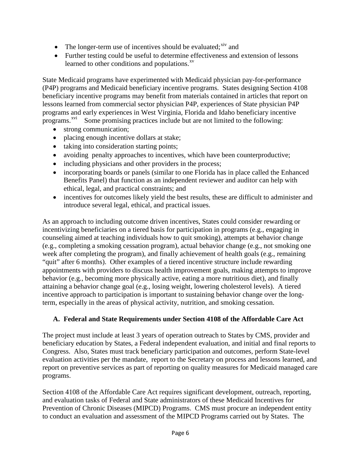- The longer-term use of incentives should be evaluated; $\frac{div}{dx}$  and
- Further testing could be useful to determine effectiveness and extension of lessons learned to other conditions and populations. $x<sup>v</sup>$

State Medicaid programs have experimented with Medicaid physician pay-for-performance (P4P) programs and Medicaid beneficiary incentive programs. States designing Section 4108 beneficiary incentive programs may benefit from materials contained in articles that report on lessons learned from commercial sector physician P4P, experiences of State physician P4P programs and early experiences in West Virginia, Florida and Idaho beneficiary incentive programs.<sup>[xvi](#page-30-5)</sup> Some promising practices include but are not limited to the following:

- strong communication;
- placing enough incentive dollars at stake;
- taking into consideration starting points;
- avoiding penalty approaches to incentives, which have been counterproductive;
- including physicians and other providers in the process;
- incorporating boards or panels (similar to one Florida has in place called the Enhanced Benefits Panel) that function as an independent reviewer and auditor can help with ethical, legal, and practical constraints; and
- incentives for outcomes likely yield the best results, these are difficult to administer and introduce several legal, ethical, and practical issues.

As an approach to including outcome driven incentives, States could consider rewarding or incentivizing beneficiaries on a tiered basis for participation in programs (e.g., engaging in counseling aimed at teaching individuals how to quit smoking), attempts at behavior change (e.g., completing a smoking cessation program), actual behavior change (e.g., not smoking one week after completing the program), and finally achievement of health goals (e.g., remaining "quit" after 6 months). Other examples of a tiered incentive structure include rewarding appointments with providers to discuss health improvement goals, making attempts to improve behavior (e.g., becoming more physically active, eating a more nutritious diet), and finally attaining a behavior change goal (e.g., losing weight, lowering cholesterol levels). A tiered incentive approach to participation is important to sustaining behavior change over the longterm, especially in the areas of physical activity, nutrition, and smoking cessation.

## **A. Federal and State Requirements under Section 4108 of the Affordable Care Act**

The project must include at least 3 years of operation outreach to States by CMS, provider and beneficiary education by States, a Federal independent evaluation, and initial and final reports to Congress. Also, States must track beneficiary participation and outcomes, perform State-level evaluation activities per the mandate, report to the Secretary on process and lessons learned, and report on preventive services as part of reporting on quality measures for Medicaid managed care programs.

Section 4108 of the Affordable Care Act requires significant development, outreach, reporting, and evaluation tasks of Federal and State administrators of these Medicaid Incentives for Prevention of Chronic Diseases (MIPCD) Programs. CMS must procure an independent entity to conduct an evaluation and assessment of the MIPCD Programs carried out by States. The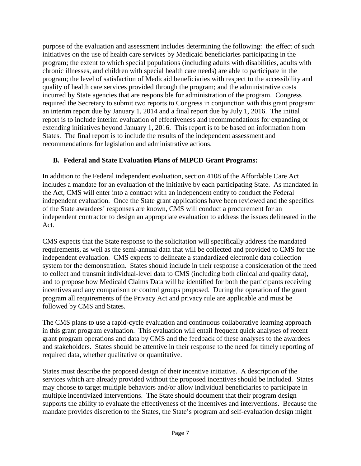purpose of the evaluation and assessment includes determining the following: the effect of such initiatives on the use of health care services by Medicaid beneficiaries participating in the program; the extent to which special populations (including adults with disabilities, adults with chronic illnesses, and children with special health care needs) are able to participate in the program; the level of satisfaction of Medicaid beneficiaries with respect to the accessibility and quality of health care services provided through the program; and the administrative costs incurred by State agencies that are responsible for administration of the program. Congress required the Secretary to submit two reports to Congress in conjunction with this grant program: an interim report due by January 1, 2014 and a final report due by July 1, 2016. The initial report is to include interim evaluation of effectiveness and recommendations for expanding or extending initiatives beyond January 1, 2016. This report is to be based on information from States. The final report is to include the results of the independent assessment and recommendations for legislation and administrative actions.

## **B. Federal and State Evaluation Plans of MIPCD Grant Programs:**

In addition to the Federal independent evaluation, section 4108 of the Affordable Care Act includes a mandate for an evaluation of the initiative by each participating State. As mandated in the Act, CMS will enter into a contract with an independent entity to conduct the Federal independent evaluation. Once the State grant applications have been reviewed and the specifics of the State awardees' responses are known, CMS will conduct a procurement for an independent contractor to design an appropriate evaluation to address the issues delineated in the Act.

CMS expects that the State response to the solicitation will specifically address the mandated requirements, as well as the semi-annual data that will be collected and provided to CMS for the independent evaluation. CMS expects to delineate a standardized electronic data collection system for the demonstration. States should include in their response a consideration of the need to collect and transmit individual-level data to CMS (including both clinical and quality data), and to propose how Medicaid Claims Data will be identified for both the participants receiving incentives and any comparison or control groups proposed. During the operation of the grant program all requirements of the Privacy Act and privacy rule are applicable and must be followed by CMS and States.

The CMS plans to use a rapid-cycle evaluation and continuous collaborative learning approach in this grant program evaluation. This evaluation will entail frequent quick analyses of recent grant program operations and data by CMS and the feedback of these analyses to the awardees and stakeholders. States should be attentive in their response to the need for timely reporting of required data, whether qualitative or quantitative.

States must describe the proposed design of their incentive initiative. A description of the services which are already provided without the proposed incentives should be included. States may choose to target multiple behaviors and/or allow individual beneficiaries to participate in multiple incentivized interventions. The State should document that their program design supports the ability to evaluate the effectiveness of the incentives and interventions. Because the mandate provides discretion to the States, the State's program and self-evaluation design might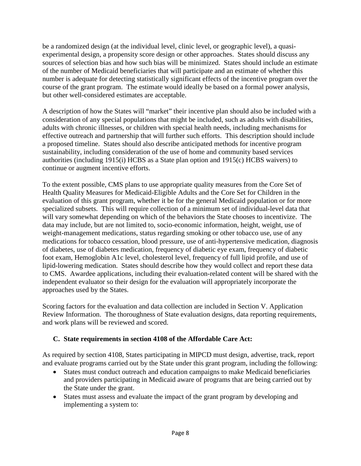be a randomized design (at the individual level, clinic level, or geographic level), a quasiexperimental design, a propensity score design or other approaches. States should discuss any sources of selection bias and how such bias will be minimized. States should include an estimate of the number of Medicaid beneficiaries that will participate and an estimate of whether this number is adequate for detecting statistically significant effects of the incentive program over the course of the grant program. The estimate would ideally be based on a formal power analysis, but other well-considered estimates are acceptable.

A description of how the States will "market" their incentive plan should also be included with a consideration of any special populations that might be included, such as adults with disabilities, adults with chronic illnesses, or children with special health needs, including mechanisms for effective outreach and partnership that will further such efforts. This description should include a proposed timeline. States should also describe anticipated methods for incentive program sustainability, including consideration of the use of home and community based services authorities (including 1915(i) HCBS as a State plan option and 1915(c) HCBS waivers) to continue or augment incentive efforts.

To the extent possible, CMS plans to use appropriate quality measures from the Core Set of Health Quality Measures for Medicaid-Eligible Adults and the Core Set for Children in the evaluation of this grant program, whether it be for the general Medicaid population or for more specialized subsets. This will require collection of a minimum set of individual-level data that will vary somewhat depending on which of the behaviors the State chooses to incentivize. The data may include, but are not limited to, socio-economic information, height, weight, use of weight-management medications, status regarding smoking or other tobacco use, use of any medications for tobacco cessation, blood pressure, use of anti-hypertensive medication, diagnosis of diabetes, use of diabetes medication, frequency of diabetic eye exam, frequency of diabetic foot exam, Hemoglobin A1c level, cholesterol level, frequency of full lipid profile, and use of lipid-lowering medication. States should describe how they would collect and report these data to CMS. Awardee applications, including their evaluation-related content will be shared with the independent evaluator so their design for the evaluation will appropriately incorporate the approaches used by the States.

Scoring factors for the evaluation and data collection are included in Section V. Application Review Information. The thoroughness of State evaluation designs, data reporting requirements, and work plans will be reviewed and scored.

## **C. State requirements in section 4108 of the Affordable Care Act:**

As required by section 4108, States participating in MIPCD must design, advertise, track, report and evaluate programs carried out by the State under this grant program, including the following:

- States must conduct outreach and education campaigns to make Medicaid beneficiaries and providers participating in Medicaid aware of programs that are being carried out by the State under the grant.
- States must assess and evaluate the impact of the grant program by developing and implementing a system to: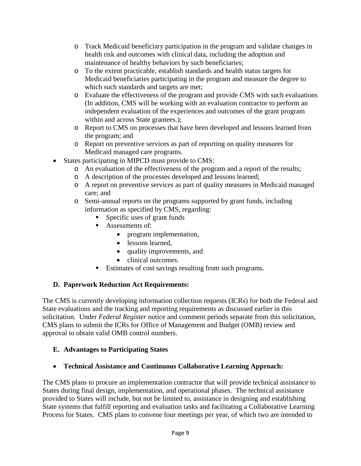- o Track Medicaid beneficiary participation in the program and validate changes in health risk and outcomes with clinical data, including the adoption and maintenance of healthy behaviors by such beneficiaries;
- o To the extent practicable, establish standards and health status targets for Medicaid beneficiaries participating in the program and measure the degree to which such standards and targets are met;
- o Evaluate the effectiveness of the program and provide CMS with such evaluations (In addition, CMS will be working with an evaluation contractor to perform an independent evaluation of the experiences and outcomes of the grant program within and across State grantees.);
- o Report to CMS on processes that have been developed and lessons learned from the program; and
- o Report on preventive services as part of reporting on quality measures for Medicaid managed care programs.
- States participating in MIPCD must provide to CMS:
	- o An evaluation of the effectiveness of the program and a report of the results;
	- o A description of the processes developed and lessons learned;
	- o A report on preventive services as part of quality measures in Medicaid managed care; and
	- o Semi-annual reports on the programs supported by grant funds, including information as specified by CMS, regarding:
		- Specific uses of grant funds
		- Assessments of:
			- program implementation,
			- lessons learned,
			- quality improvements, and
			- clinical outcomes.
		- Estimates of cost savings resulting from such programs.

# **D. Paperwork Reduction Act Requirements:**

The CMS is currently developing information collection requests (ICRs) for both the Federal and State evaluations and the tracking and reporting requirements as discussed earlier in this solicitation. Under *Federal Register* notice and comment periods separate from this solicitation, CMS plans to submit the ICRs for Office of Management and Budget (OMB) review and approval to obtain valid OMB control numbers.

# **E. Advantages to Participating States**

• **Technical Assistance and Continuous Collaborative Learning Approach:**

The CMS plans to procure an implementation contractor that will provide technical assistance to States during final design, implementation, and operational phases. The technical assistance provided to States will include, but not be limited to, assistance in designing and establishing State systems that fulfill reporting and evaluation tasks and facilitating a Collaborative Learning Process for States. CMS plans to convene four meetings per year, of which two are intended to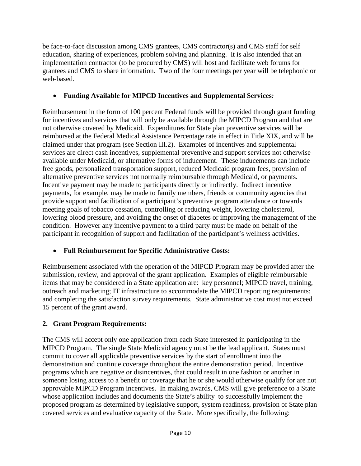be face-to-face discussion among CMS grantees, CMS contractor(s) and CMS staff for self education, sharing of experiences, problem solving and planning. It is also intended that an implementation contractor (to be procured by CMS) will host and facilitate web forums for grantees and CMS to share information. Two of the four meetings per year will be telephonic or web-based.

## • **Funding Available for MIPCD Incentives and Supplemental Services***:*

Reimbursement in the form of 100 percent Federal funds will be provided through grant funding for incentives and services that will only be available through the MIPCD Program and that are not otherwise covered by Medicaid. Expenditures for State plan preventive services will be reimbursed at the Federal Medical Assistance Percentage rate in effect in Title XIX, and will be claimed under that program (see Section III.2). Examples of incentives and supplemental services are direct cash incentives, supplemental preventive and support services not otherwise available under Medicaid, or alternative forms of inducement. These inducements can include free goods, personalized transportation support, reduced Medicaid program fees, provision of alternative preventive services not normally reimbursable through Medicaid, or payments. Incentive payment may be made to participants directly or indirectly. Indirect incentive payments, for example, may be made to family members, friends or community agencies that provide support and facilitation of a participant's preventive program attendance or towards meeting goals of tobacco cessation, controlling or reducing weight, lowering cholesterol, lowering blood pressure, and avoiding the onset of diabetes or improving the management of the condition. However any incentive payment to a third party must be made on behalf of the participant in recognition of support and facilitation of the participant's wellness activities.

• **Full Reimbursement for Specific Administrative Costs:**

Reimbursement associated with the operation of the MIPCD Program may be provided after the submission, review, and approval of the grant application. Examples of eligible reimbursable items that may be considered in a State application are: key personnel; MIPCD travel, training, outreach and marketing; IT infrastructure to accommodate the MIPCD reporting requirements; and completing the satisfaction survey requirements. State administrative cost must not exceed 15 percent of the grant award.

# **2. Grant Program Requirements:**

The CMS will accept only one application from each State interested in participating in the MIPCD Program. The single State Medicaid agency must be the lead applicant. States must commit to cover all applicable preventive services by the start of enrollment into the demonstration and continue coverage throughout the entire demonstration period. Incentive programs which are negative or disincentives, that could result in one fashion or another in someone losing access to a benefit or coverage that he or she would otherwise qualify for are not approvable MIPCD Program incentives. In making awards, CMS will give preference to a State whose application includes and documents the State's ability to successfully implement the proposed program as determined by legislative support, system readiness, provision of State plan covered services and evaluative capacity of the State. More specifically, the following: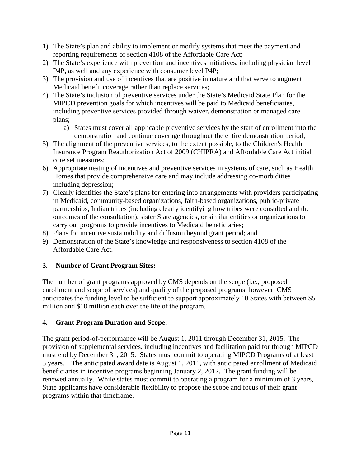- 1) The State's plan and ability to implement or modify systems that meet the payment and reporting requirements of section 4108 of the Affordable Care Act;
- 2) The State's experience with prevention and incentives initiatives, including physician level P4P, as well and any experience with consumer level P4P;
- 3) The provision and use of incentives that are positive in nature and that serve to augment Medicaid benefit coverage rather than replace services;
- 4) The State's inclusion of preventive services under the State's Medicaid State Plan for the MIPCD prevention goals for which incentives will be paid to Medicaid beneficiaries, including preventive services provided through waiver, demonstration or managed care plans;
	- a) States must cover all applicable preventive services by the start of enrollment into the demonstration and continue coverage throughout the entire demonstration period;
- 5) The alignment of the preventive services, to the extent possible, to the Children's Health Insurance Program Reauthorization Act of 2009 (CHIPRA) and Affordable Care Act initial core set measures;
- 6) Appropriate nesting of incentives and preventive services in systems of care, such as Health Homes that provide comprehensive care and may include addressing co-morbidities including depression;
- 7) Clearly identifies the State's plans for entering into arrangements with providers participating in Medicaid, community-based organizations, faith-based organizations, public-private partnerships, Indian tribes (including clearly identifying how tribes were consulted and the outcomes of the consultation), sister State agencies, or similar entities or organizations to carry out programs to provide incentives to Medicaid beneficiaries;
- 8) Plans for incentive sustainability and diffusion beyond grant period; and
- 9) Demonstration of the State's knowledge and responsiveness to section 4108 of the Affordable Care Act.

# **3. Number of Grant Program Sites:**

The number of grant programs approved by CMS depends on the scope (i.e., proposed enrollment and scope of services) and quality of the proposed programs; however, CMS anticipates the funding level to be sufficient to support approximately 10 States with between \$5 million and \$10 million each over the life of the program.

## **4. Grant Program Duration and Scope:**

The grant period-of-performance will be August 1, 2011 through December 31, 2015. The provision of supplemental services, including incentives and facilitation paid for through MIPCD must end by December 31, 2015. States must commit to operating MIPCD Programs of at least 3 years. The anticipated award date is August 1, 2011, with anticipated enrollment of Medicaid beneficiaries in incentive programs beginning January 2, 2012. The grant funding will be renewed annually. While states must commit to operating a program for a minimum of 3 years, State applicants have considerable flexibility to propose the scope and focus of their grant programs within that timeframe.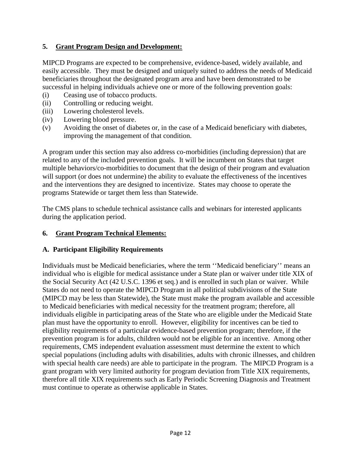#### **5. Grant Program Design and Development:**

MIPCD Programs are expected to be comprehensive, evidence-based, widely available, and easily accessible. They must be designed and uniquely suited to address the needs of Medicaid beneficiaries throughout the designated program area and have been demonstrated to be successful in helping individuals achieve one or more of the following prevention goals:

- (i) Ceasing use of tobacco products.
- (ii) Controlling or reducing weight.
- (iii) Lowering cholesterol levels.
- (iv) Lowering blood pressure.
- (v) Avoiding the onset of diabetes or, in the case of a Medicaid beneficiary with diabetes, improving the management of that condition.

A program under this section may also address co-morbidities (including depression) that are related to any of the included prevention goals. It will be incumbent on States that target multiple behaviors/co-morbidities to document that the design of their program and evaluation will support (or does not undermine) the ability to evaluate the effectiveness of the incentives and the interventions they are designed to incentivize. States may choose to operate the programs Statewide or target them less than Statewide.

The CMS plans to schedule technical assistance calls and webinars for interested applicants during the application period.

#### **6. Grant Program Technical Elements:**

#### **A. Participant Eligibility Requirements**

Individuals must be Medicaid beneficiaries, where the term ''Medicaid beneficiary'' means an individual who is eligible for medical assistance under a State plan or waiver under title XIX of the Social Security Act (42 U.S.C. 1396 et seq.) and is enrolled in such plan or waiver. While States do not need to operate the MIPCD Program in all political subdivisions of the State (MIPCD may be less than Statewide), the State must make the program available and accessible to Medicaid beneficiaries with medical necessity for the treatment program; therefore, all individuals eligible in participating areas of the State who are eligible under the Medicaid State plan must have the opportunity to enroll. However, eligibility for incentives can be tied to eligibility requirements of a particular evidence-based prevention program; therefore, if the prevention program is for adults, children would not be eligible for an incentive. Among other requirements, CMS independent evaluation assessment must determine the extent to which special populations (including adults with disabilities, adults with chronic illnesses, and children with special health care needs) are able to participate in the program. The MIPCD Program is a grant program with very limited authority for program deviation from Title XIX requirements, therefore all title XIX requirements such as Early Periodic Screening Diagnosis and Treatment must continue to operate as otherwise applicable in States.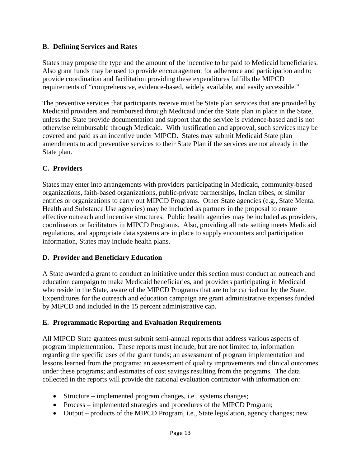#### **B. Defining Services and Rates**

States may propose the type and the amount of the incentive to be paid to Medicaid beneficiaries. Also grant funds may be used to provide encouragement for adherence and participation and to provide coordination and facilitation providing these expenditures fulfills the MIPCD requirements of "comprehensive, evidence-based, widely available, and easily accessible*.*"

The preventive services that participants receive must be State plan services that are provided by Medicaid providers and reimbursed through Medicaid under the State plan in place in the State, unless the State provide documentation and support that the service is evidence-based and is not otherwise reimbursable through Medicaid. With justification and approval, such services may be covered and paid as an incentive under MIPCD. States may submit Medicaid State plan amendments to add preventive services to their State Plan if the services are not already in the State plan.

## **C. Providers**

States may enter into arrangements with providers participating in Medicaid, community-based organizations, faith-based organizations, public-private partnerships, Indian tribes, or similar entities or organizations to carry out MIPCD Programs. Other State agencies (e.g., State Mental Health and Substance Use agencies) may be included as partners in the proposal to ensure effective outreach and incentive structures. Public health agencies may be included as providers, coordinators or facilitators in MIPCD Programs. Also, providing all rate setting meets Medicaid regulations, and appropriate data systems are in place to supply encounters and participation information, States may include health plans.

## **D. Provider and Beneficiary Education**

A State awarded a grant to conduct an initiative under this section must conduct an outreach and education campaign to make Medicaid beneficiaries, and providers participating in Medicaid who reside in the State, aware of the MIPCD Programs that are to be carried out by the State. Expenditures for the outreach and education campaign are grant administrative expenses funded by MIPCD and included in the 15 percent administrative cap.

## **E. Programmatic Reporting and Evaluation Requirements**

All MIPCD State grantees must submit semi-annual reports that address various aspects of program implementation. These reports must include, but are not limited to, information regarding the specific uses of the grant funds; an assessment of program implementation and lessons learned from the programs; an assessment of quality improvements and clinical outcomes under these programs; and estimates of cost savings resulting from the programs. The data collected in the reports will provide the national evaluation contractor with information on:

- Structure implemented program changes, i.e., systems changes;
- Process implemented strategies and procedures of the MIPCD Program;
- Output products of the MIPCD Program, i.e., State legislation, agency changes; new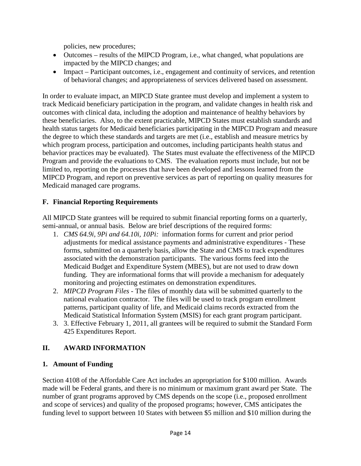policies, new procedures;

- Outcomes results of the MIPCD Program, i.e., what changed, what populations are impacted by the MIPCD changes; and
- Impact Participant outcomes, i.e., engagement and continuity of services, and retention of behavioral changes; and appropriateness of services delivered based on assessment.

In order to evaluate impact, an MIPCD State grantee must develop and implement a system to track Medicaid beneficiary participation in the program, and validate changes in health risk and outcomes with clinical data, including the adoption and maintenance of healthy behaviors by these beneficiaries. Also, to the extent practicable, MIPCD States must establish standards and health status targets for Medicaid beneficiaries participating in the MIPCD Program and measure the degree to which these standards and targets are met (i.e., establish and measure metrics by which program process, participation and outcomes, including participants health status and behavior practices may be evaluated). The States must evaluate the effectiveness of the MIPCD Program and provide the evaluations to CMS. The evaluation reports must include, but not be limited to, reporting on the processes that have been developed and lessons learned from the MIPCD Program, and report on preventive services as part of reporting on quality measures for Medicaid managed care programs.

## **F. Financial Reporting Requirements**

All MIPCD State grantees will be required to submit financial reporting forms on a quarterly, semi-annual, or annual basis. Below are brief descriptions of the required forms:

- 1. *CMS 64.9i, 9Pi and 64.10i, 10Pi:* information forms for current and prior period adjustments for medical assistance payments and administrative expenditures - These forms, submitted on a quarterly basis, allow the State and CMS to track expenditures associated with the demonstration participants. The various forms feed into the Medicaid Budget and Expenditure System (MBES), but are not used to draw down funding. They are informational forms that will provide a mechanism for adequately monitoring and projecting estimates on demonstration expenditures.
- 2. *MIPCD Program Files* The files of monthly data will be submitted quarterly to the national evaluation contractor. The files will be used to track program enrollment patterns, participant quality of life, and Medicaid claims records extracted from the Medicaid Statistical Information System (MSIS) for each grant program participant.
- 3. 3. Effective February 1, 2011, all grantees will be required to submit the Standard Form 425 Expenditures Report.

# **II. AWARD INFORMATION**

## **1. Amount of Funding**

Section 4108 of the Affordable Care Act includes an appropriation for \$100 million. Awards made will be Federal grants, and there is no minimum or maximum grant award per State. The number of grant programs approved by CMS depends on the scope (i.e., proposed enrollment and scope of services) and quality of the proposed programs; however, CMS anticipates the funding level to support between 10 States with between \$5 million and \$10 million during the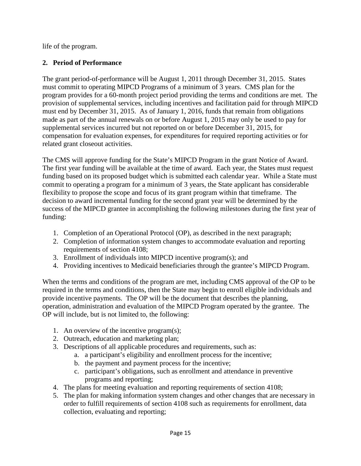life of the program.

## **2. Period of Performance**

The grant period-of-performance will be August 1, 2011 through December 31, 2015. States must commit to operating MIPCD Programs of a minimum of 3 years. CMS plan for the program provides for a 60-month project period providing the terms and conditions are met. The provision of supplemental services, including incentives and facilitation paid for through MIPCD must end by December 31, 2015. As of January 1, 2016, funds that remain from obligations made as part of the annual renewals on or before August 1, 2015 may only be used to pay for supplemental services incurred but not reported on or before December 31, 2015, for compensation for evaluation expenses, for expenditures for required reporting activities or for related grant closeout activities.

The CMS will approve funding for the State's MIPCD Program in the grant Notice of Award. The first year funding will be available at the time of award. Each year, the States must request funding based on its proposed budget which is submitted each calendar year. While a State must commit to operating a program for a minimum of 3 years, the State applicant has considerable flexibility to propose the scope and focus of its grant program within that timeframe. The decision to award incremental funding for the second grant year will be determined by the success of the MIPCD grantee in accomplishing the following milestones during the first year of funding:

- 1. Completion of an Operational Protocol (OP), as described in the next paragraph;
- 2. Completion of information system changes to accommodate evaluation and reporting requirements of section 4108;
- 3. Enrollment of individuals into MIPCD incentive program(s); and
- 4. Providing incentives to Medicaid beneficiaries through the grantee's MIPCD Program.

When the terms and conditions of the program are met, including CMS approval of the OP to be required in the terms and conditions, then the State may begin to enroll eligible individuals and provide incentive payments. The OP will be the document that describes the planning, operation, administration and evaluation of the MIPCD Program operated by the grantee. The OP will include, but is not limited to, the following:

- 1. An overview of the incentive program(s);
- 2. Outreach, education and marketing plan;
- 3. Descriptions of all applicable procedures and requirements, such as:
	- a. a participant's eligibility and enrollment process for the incentive;
	- b. the payment and payment process for the incentive;
	- c. participant's obligations, such as enrollment and attendance in preventive programs and reporting;
- 4. The plans for meeting evaluation and reporting requirements of section 4108;
- 5. The plan for making information system changes and other changes that are necessary in order to fulfill requirements of section 4108 such as requirements for enrollment, data collection, evaluating and reporting;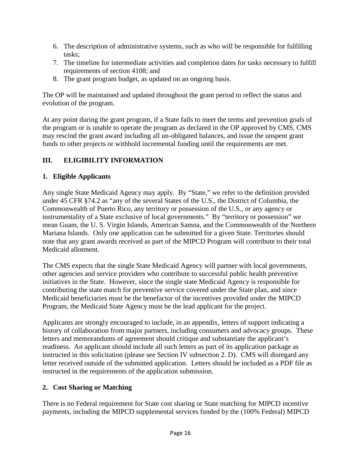- 6. The description of administrative systems, such as who will be responsible for fulfilling tasks;
- 7. The timeline for intermediate activities and completion dates for tasks necessary to fulfill requirements of section 4108; and
- 8. The grant program budget, as updated on an ongoing basis.

The OP will be maintained and updated throughout the grant period to reflect the status and evolution of the program.

At any point during the grant program, if a State fails to meet the terms and prevention goals of the program or is unable to operate the program as declared in the OP approved by CMS, CMS may rescind the grant award including all un-obligated balances, and issue the unspent grant funds to other projects or withhold incremental funding until the requirements are met.

# **III. ELIGIBILITY INFORMATION**

## **1. Eligible Applicants**

Any single State Medicaid Agency may apply. By "State," we refer to the definition provided under 45 CFR §74.2 as "any of the several States of the U.S., the District of Columbia, the Commonwealth of Puerto Rico, any territory or possession of the U.S., or any agency or instrumentality of a State exclusive of local governments." By "territory or possession" we mean Guam, the U. S. Virgin Islands, American Samoa, and the Commonwealth of the Northern Mariana Islands. Only one application can be submitted for a given State. Territories should note that any grant awards received as part of the MIPCD Program will contribute to their total Medicaid allotment.

The CMS expects that the single State Medicaid Agency will partner with local governments, other agencies and service providers who contribute to successful public health preventive initiatives in the State. However, since the single state Medicaid Agency is responsible for contributing the state match for preventive service covered under the State plan, and since Medicaid beneficiaries must be the benefactor of the incentives provided under the MIPCD Program, the Medicaid State Agency must be the lead applicant for the project.

Applicants are strongly encouraged to include, in an appendix, letters of support indicating a history of collaboration from major partners, including consumers and advocacy groups. These letters and memorandums of agreement should critique and substantiate the applicant's readiness. An applicant should include all such letters as part of its application package as instructed in this solicitation (please see Section IV subsection 2. D). CMS will disregard any letter received outside of the submitted application. Letters should be included as a PDF file as instructed in the requirements of the application submission.

# **2. Cost Sharing or Matching**

There is no Federal requirement for State cost sharing or State matching for MIPCD incentive payments, including the MIPCD supplemental services funded by the (100% Federal) MIPCD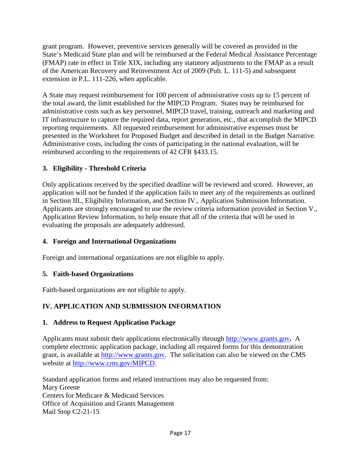grant program. However, preventive services generally will be covered as provided in the State's Medicaid State plan and will be reimbursed at the Federal Medical Assistance Percentage (FMAP) rate in effect in Title XIX, including any statutory adjustments to the FMAP as a result of the American Recovery and Reinvestment Act of 2009 (Pub. L. 111-5) and subsequent extension in P.L. 111-226, when applicable.

A State may request reimbursement for 100 percent of administrative costs up to 15 percent of the total award, the limit established for the MIPCD Program. States may be reimbursed for administrative costs such as key personnel, MIPCD travel, training, outreach and marketing and IT infrastructure to capture the required data, report generation, etc., that accomplish the MIPCD reporting requirements. All requested reimbursement for administrative expenses must be presented in the Worksheet for Proposed Budget and described in detail in the Budget Narrative. Administrative costs, including the costs of participating in the national evaluation, will be reimbursed according to the requirements of 42 CFR §433.15.

# **3. Eligibility - Threshold Criteria**

Only applications received by the specified deadline will be reviewed and scored. However, an application will not be funded if the application fails to meet any of the requirements as outlined in Section III., Eligibility Information, and Section IV., Application Submission Information. Applicants are strongly encouraged to use the review criteria information provided in Section V., Application Review Information, to help ensure that all of the criteria that will be used in evaluating the proposals are adequately addressed.

## **4. Foreign and International Organizations**

Foreign and international organizations are not eligible to apply.

## **5. Faith-based Organizations**

Faith-based organizations are not eligible to apply.

# **IV. APPLICATION AND SUBMISSION INFORMATION**

## **1. Address to Request Application Package**

Applicants must submit their applications electronically through http://www.grants.gov**.** A complete electronic application package, including all required forms for this demonstration grant, is available at [http://www.grants.gov.](http://www.grants.gov/) The solicitation can also be viewed on the CMS website at [http://www.cms.gov/MIPCD.](http://www.cms.gov/MIPCD)

Standard application forms and related instructions may also be requested from: Mary Greene Centers for Medicare & Medicaid Services Office of Acquisition and Grants Management Mail Stop C2-21-15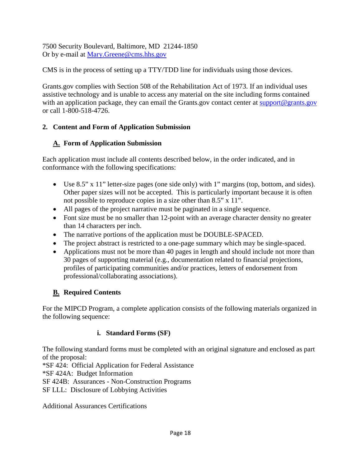7500 Security Boulevard, Baltimore, MD 21244-1850 Or by e-mail at [Mary.Greene@cms.hhs.gov](mailto:Mary.Greene@cms.hhs.gov)

CMS is in the process of setting up a TTY/TDD line for individuals using those devices.

Grants.gov complies with Section 508 of the Rehabilitation Act of 1973. If an individual uses assistive technology and is unable to access any material on the site including forms contained with an application package, they can email the Grants.gov contact center at [support@grants.gov](mailto:support@grants.gov) or call 1-800-518-4726.

# **2. Content and Form of Application Submission**

# **A. Form of Application Submission**

Each application must include all contents described below, in the order indicated, and in conformance with the following specifications:

- Use 8.5" x 11" letter-size pages (one side only) with 1" margins (top, bottom, and sides). Other paper sizes will not be accepted. This is particularly important because it is often not possible to reproduce copies in a size other than 8.5" x 11".
- All pages of the project narrative must be paginated in a single sequence.
- Font size must be no smaller than 12-point with an average character density no greater than 14 characters per inch.
- The narrative portions of the application must be DOUBLE-SPACED.
- The project abstract is restricted to a one-page summary which may be single-spaced.
- Applications must not be more than 40 pages in length and should include not more than 30 pages of supporting material (e.g., documentation related to financial projections, profiles of participating communities and/or practices, letters of endorsement from professional/collaborating associations).

# **B. Required Contents**

For the MIPCD Program, a complete application consists of the following materials organized in the following sequence:

# **i. Standard Forms (SF)**

The following standard forms must be completed with an original signature and enclosed as part of the proposal:

\*SF 424: Official Application for Federal Assistance

\*SF 424A: Budget Information

SF 424B: Assurances - Non-Construction Programs

SF LLL: Disclosure of Lobbying Activities

Additional Assurances Certifications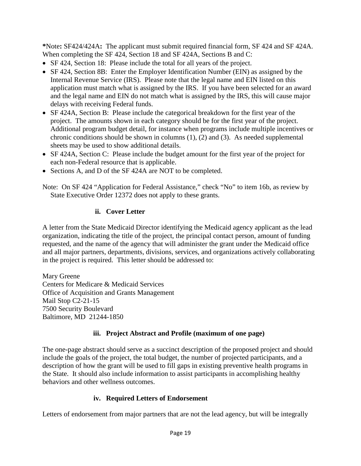**\***Note**:** SF424/424A**:** The applicant must submit required financial form, SF 424 and SF 424A. When completing the SF 424, Section 18 and SF 424A, Sections B and C:

- SF 424, Section 18: Please include the total for all years of the project.
- SF 424, Section 8B: Enter the Employer Identification Number (EIN) as assigned by the Internal Revenue Service (IRS). Please note that the legal name and EIN listed on this application must match what is assigned by the IRS. If you have been selected for an award and the legal name and EIN do not match what is assigned by the IRS, this will cause major delays with receiving Federal funds.
- SF 424A, Section B: Please include the categorical breakdown for the first year of the project. The amounts shown in each category should be for the first year of the project. Additional program budget detail, for instance when programs include multiple incentives or chronic conditions should be shown in columns (1), (2) and (3). As needed supplemental sheets may be used to show additional details.
- SF 424A, Section C: Please include the budget amount for the first year of the project for each non-Federal resource that is applicable.
- Sections A, and D of the SF 424A are NOT to be completed.

Note: On SF 424 "Application for Federal Assistance," check "No" to item 16b, as review by State Executive Order 12372 does not apply to these grants.

## **ii. Cover Letter**

A letter from the State Medicaid Director identifying the Medicaid agency applicant as the lead organization, indicating the title of the project, the principal contact person, amount of funding requested, and the name of the agency that will administer the grant under the Medicaid office and all major partners, departments, divisions, services, and organizations actively collaborating in the project is required. This letter should be addressed to:

Mary Greene Centers for Medicare & Medicaid Services Office of Acquisition and Grants Management Mail Stop C2-21-15 7500 Security Boulevard Baltimore, MD 21244-1850

## **iii. Project Abstract and Profile (maximum of one page)**

The one-page abstract should serve as a succinct description of the proposed project and should include the goals of the project, the total budget, the number of projected participants, and a description of how the grant will be used to fill gaps in existing preventive health programs in the State. It should also include information to assist participants in accomplishing healthy behaviors and other wellness outcomes.

## **iv. Required Letters of Endorsement**

Letters of endorsement from major partners that are not the lead agency, but will be integrally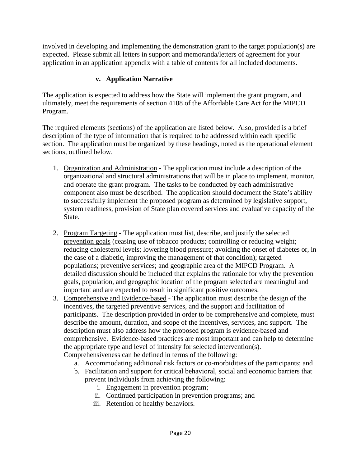involved in developing and implementing the demonstration grant to the target population(s) are expected. Please submit all letters in support and memoranda/letters of agreement for your application in an application appendix with a table of contents for all included documents.

## **v. Application Narrative**

The application is expected to address how the State will implement the grant program, and ultimately, meet the requirements of section 4108 of the Affordable Care Act for the MIPCD Program.

The required elements (sections) of the application are listed below. Also, provided is a brief description of the type of information that is required to be addressed within each specific section. The application must be organized by these headings, noted as the operational element sections, outlined below.

- 1. Organization and Administration The application must include a description of the organizational and structural administrations that will be in place to implement, monitor, and operate the grant program. The tasks to be conducted by each administrative component also must be described. The application should document the State's ability to successfully implement the proposed program as determined by legislative support, system readiness, provision of State plan covered services and evaluative capacity of the State.
- 2. Program Targeting The application must list, describe, and justify the selected prevention goals (ceasing use of tobacco products; controlling or reducing weight; reducing cholesterol levels; lowering blood pressure; avoiding the onset of diabetes or, in the case of a diabetic, improving the management of that condition); targeted populations; preventive services; and geographic area of the MIPCD Program. A detailed discussion should be included that explains the rationale for why the prevention goals, population, and geographic location of the program selected are meaningful and important and are expected to result in significant positive outcomes.
- 3. Comprehensive and Evidence-based The application must describe the design of the incentives, the targeted preventive services, and the support and facilitation of participants. The description provided in order to be comprehensive and complete, must describe the amount, duration, and scope of the incentives, services, and support. The description must also address how the proposed program is evidence-based and comprehensive. Evidence-based practices are most important and can help to determine the appropriate type and level of intensity for selected intervention(s). Comprehensiveness can be defined in terms of the following:
	- a. Accommodating additional risk factors or co-morbidities of the participants; and
	- b. Facilitation and support for critical behavioral, social and economic barriers that prevent individuals from achieving the following:
		- i. Engagement in prevention program;
		- ii. Continued participation in prevention programs; and
		- iii. Retention of healthy behaviors.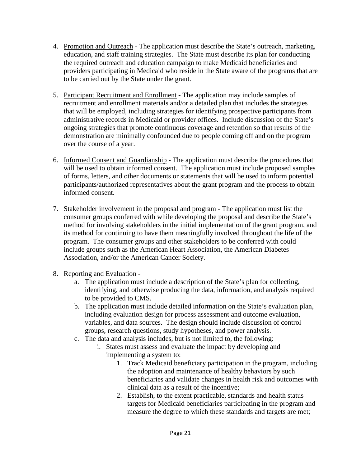- 4. Promotion and Outreach The application must describe the State's outreach, marketing, education, and staff training strategies. The State must describe its plan for conducting the required outreach and education campaign to make Medicaid beneficiaries and providers participating in Medicaid who reside in the State aware of the programs that are to be carried out by the State under the grant.
- 5. Participant Recruitment and Enrollment The application may include samples of recruitment and enrollment materials and/or a detailed plan that includes the strategies that will be employed, including strategies for identifying prospective participants from administrative records in Medicaid or provider offices. Include discussion of the State's ongoing strategies that promote continuous coverage and retention so that results of the demonstration are minimally confounded due to people coming off and on the program over the course of a year.
- 6. Informed Consent and Guardianship The application must describe the procedures that will be used to obtain informed consent. The application must include proposed samples of forms, letters, and other documents or statements that will be used to inform potential participants/authorized representatives about the grant program and the process to obtain informed consent.
- 7. Stakeholder involvement in the proposal and program The application must list the consumer groups conferred with while developing the proposal and describe the State's method for involving stakeholders in the initial implementation of the grant program, and its method for continuing to have them meaningfully involved throughout the life of the program. The consumer groups and other stakeholders to be conferred with could include groups such as the American Heart Association, the American Diabetes Association, and/or the American Cancer Society.
- 8. Reporting and Evaluation
	- a. The application must include a description of the State's plan for collecting, identifying, and otherwise producing the data, information, and analysis required to be provided to CMS.
	- b. The application must include detailed information on the State's evaluation plan, including evaluation design for process assessment and outcome evaluation, variables, and data sources. The design should include discussion of control groups, research questions, study hypotheses, and power analysis.
	- c. The data and analysis includes, but is not limited to, the following:
		- i. States must assess and evaluate the impact by developing and implementing a system to:
			- 1. Track Medicaid beneficiary participation in the program, including the adoption and maintenance of healthy behaviors by such beneficiaries and validate changes in health risk and outcomes with clinical data as a result of the incentive;
			- 2. Establish, to the extent practicable, standards and health status targets for Medicaid beneficiaries participating in the program and measure the degree to which these standards and targets are met;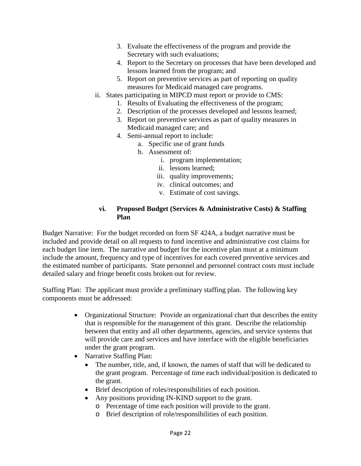- 3. Evaluate the effectiveness of the program and provide the Secretary with such evaluations;
- 4. Report to the Secretary on processes that have been developed and lessons learned from the program; and
- 5. Report on preventive services as part of reporting on quality measures for Medicaid managed care programs.
- ii. States participating in MIPCD must report or provide to CMS:
	- 1. Results of Evaluating the effectiveness of the program;
	- 2. Description of the processes developed and lessons learned;
	- 3. Report on preventive services as part of quality measures in Medicaid managed care; and
	- 4. Semi-annual report to include:
		- a. Specific use of grant funds
			- b. Assessment of:
				- i. program implementation;
				- ii. lessons learned;
				- iii. quality improvements;
				- iv. clinical outcomes; and
				- v. Estimate of cost savings.

#### **vi. Proposed Budget (Services & Administrative Costs) & Staffing Plan**

Budget Narrative: For the budget recorded on form SF 424A, a budget narrative must be included and provide detail on all requests to fund incentive and administrative cost claims for each budget line item. The narrative and budget for the incentive plan must at a minimum include the amount, frequency and type of incentives for each covered preventive services and the estimated number of participants. State personnel and personnel contract costs must include detailed salary and fringe benefit costs broken out for review.

Staffing Plan: The applicant must provide a preliminary staffing plan. The following key components must be addressed:

- Organizational Structure: Provide an organizational chart that describes the entity that is responsible for the management of this grant. Describe the relationship between that entity and all other departments, agencies, and service systems that will provide care and services and have interface with the eligible beneficiaries under the grant program.
- Narrative Staffing Plan:
	- The number, title, and, if known, the names of staff that will be dedicated to the grant program. Percentage of time each individual/position is dedicated to the grant.
	- Brief description of roles/responsibilities of each position.
	- Any positions providing IN-KIND support to the grant.
		- o Percentage of time each position will provide to the grant.
		- o Brief description of role/responsibilities of each position.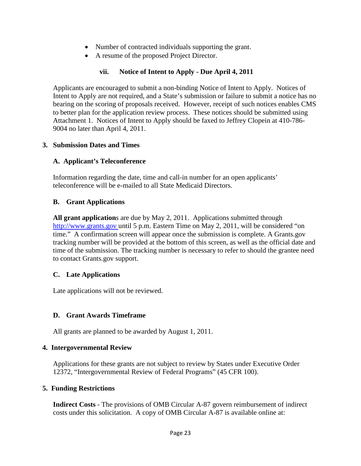- Number of contracted individuals supporting the grant.
- A resume of the proposed Project Director.

#### **vii. Notice of Intent to Apply - Due April 4, 2011**

Applicants are encouraged to submit a non-binding Notice of Intent to Apply. Notices of Intent to Apply are not required, and a State's submission or failure to submit a notice has no bearing on the scoring of proposals received. However, receipt of such notices enables CMS to better plan for the application review process. These notices should be submitted using Attachment 1. Notices of Intent to Apply should be faxed to Jeffrey Clopein at 410-786- 9004 no later than April 4, 2011.

#### **3. Submission Dates and Times**

#### **A. Applicant's Teleconference**

Information regarding the date, time and call-in number for an open applicants' teleconference will be e-mailed to all State Medicaid Directors.

#### **B. Grant Applications**

**All grant application**s are due by May 2, 2011. Applications submitted through http://www.grants.gov until 5 p.m. Eastern Time on May 2, 2011, will be considered "on time." A confirmation screen will appear once the submission is complete. A Grants.gov tracking number will be provided at the bottom of this screen, as well as the official date and time of the submission. The tracking number is necessary to refer to should the grantee need to contact Grants.gov support.

#### **C. Late Applications**

Late applications will not be reviewed.

#### **D. Grant Awards Timeframe**

All grants are planned to be awarded by August 1, 2011.

#### **4. Intergovernmental Review**

Applications for these grants are not subject to review by States under Executive Order 12372, "Intergovernmental Review of Federal Programs" (45 CFR 100).

#### **5. Funding Restrictions**

**Indirect Costs** - The provisions of OMB Circular A-87 govern reimbursement of indirect costs under this solicitation. A copy of OMB Circular A-87 is available online at: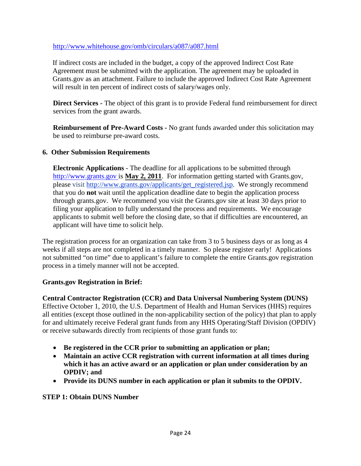#### <http://www.whitehouse.gov/omb/circulars/a087/a087.html>

If indirect costs are included in the budget, a copy of the approved Indirect Cost Rate Agreement must be submitted with the application. The agreement may be uploaded in Grants.gov as an attachment. Failure to include the approved Indirect Cost Rate Agreement will result in ten percent of indirect costs of salary/wages only.

**Direct Services -** The object of this grant is to provide Federal fund reimbursement for direct services from the grant awards.

**Reimbursement of Pre-Award Costs -** No grant funds awarded under this solicitation may be used to reimburse pre-award costs.

#### **6. Other Submission Requirements**

**Electronic Applications** - The deadline for all applications to be submitted through [http://www.grants.gov](http://www.grants.gov/) is **May 2, 2011**. For information getting started with Grants.gov, please visit [http://www.grants.gov/applicants/get\\_registered.jsp.](http://www.grants.gov/applicants/get_registered.jsp) We strongly recommend that you do **not** wait until the application deadline date to begin the application process through grants.gov. We recommend you visit the Grants.gov site at least 30 days prior to filing your application to fully understand the process and requirements. We encourage applicants to submit well before the closing date, so that if difficulties are encountered, an applicant will have time to solicit help.

The registration process for an organization can take from 3 to 5 business days or as long as 4 weeks if all steps are not completed in a timely manner. So please register early! Applications not submitted "on time" due to applicant's failure to complete the entire Grants.gov registration process in a timely manner will not be accepted.

## **Grants.gov Registration in Brief:**

**Central Contractor Registration (CCR) and Data Universal Numbering System (DUNS)**

Effective October 1, 2010, the U.S. Department of Health and Human Services (HHS) requires all entities (except those outlined in the non-applicability section of the policy) that plan to apply for and ultimately receive Federal grant funds from any HHS Operating/Staff Division (OPDIV) or receive subawards directly from recipients of those grant funds to:

- **Be registered in the CCR prior to submitting an application or plan;**
- **Maintain an active CCR registration with current information at all times during which it has an active award or an application or plan under consideration by an OPDIV; and**
- **Provide its DUNS number in each application or plan it submits to the OPDIV.**

**STEP 1: Obtain DUNS Number**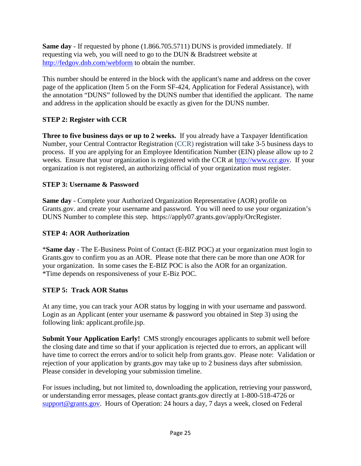**Same day** - If requested by phone (1.866.705.5711) DUNS is provided immediately. If requesting via web, you will need to go to the DUN & Bradstreet website at <http://fedgov.dnb.com/webform>to obtain the number.

This number should be entered in the block with the applicant's name and address on the cover page of the application (Item 5 on the Form SF-424, Application for Federal Assistance), with the annotation "DUNS" followed by the DUNS number that identified the applicant. The name and address in the application should be exactly as given for the DUNS number.

## **STEP 2: Register with CCR**

**Three to five business days or up to 2 weeks.** If you already have a Taxpayer Identification Number, your Central Contractor Registration (CCR) registration will take 3-5 business days to process. If you are applying for an Employee Identification Number (EIN) please allow up to 2 weeks. Ensure that your organization is registered with the CCR at [http://www.ccr.gov.](http://www.ccr.gov/) If your organization is not registered, an authorizing official of your organization must register.

## **STEP 3: Username & Password**

**Same day** - Complete your Authorized Organization Representative (AOR) profile on Grants.gov. and create your username and password. You will need to use your organization's DUNS Number to complete this step. https://apply07.grants.gov/apply/OrcRegister.

#### **STEP 4: AOR Authorization**

\***Same day** - The E-Business Point of Contact (E-BIZ POC) at your organization must login to Grants.gov to confirm you as an AOR. Please note that there can be more than one AOR for your organization. In some cases the E-BIZ POC is also the AOR for an organization. \*Time depends on responsiveness of your E-Biz POC.

## **STEP 5: Track AOR Status**

At any time, you can track your AOR status by logging in with your username and password. Login as an Applicant (enter your username & password you obtained in Step 3) using the following link: applicant.profile.jsp.

**Submit Your Application Early!** CMS strongly encourages applicants to submit well before the closing date and time so that if your application is rejected due to errors, an applicant will have time to correct the errors and/or to solicit help from grants.gov. Please note: Validation or rejection of your application by grants.gov may take up to 2 business days after submission. Please consider in developing your submission timeline.

For issues including, but not limited to, downloading the application, retrieving your password, or understanding error messages, please contact grants.gov directly at 1-800-518-4726 or [support@grants.gov.](mailto:support@grants.gov) Hours of Operation: 24 hours a day, 7 days a week, closed on Federal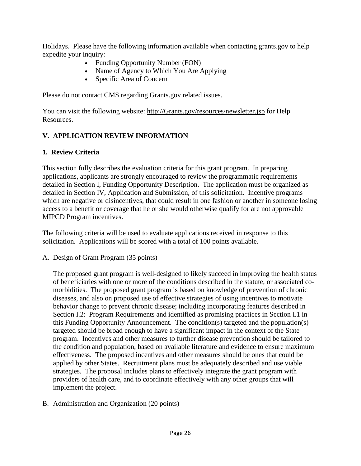Holidays. Please have the following information available when contacting grants.gov to help expedite your inquiry:

- Funding Opportunity Number (FON)
- Name of Agency to Which You Are Applying
- Specific Area of Concern

Please do not contact CMS regarding Grants.gov related issues.

You can visit the following website: [http://Grants.gov/resources/newsletter.jsp](http://grants.gov/resources/newsletter.jsp) for Help Resources.

# **V. APPLICATION REVIEW INFORMATION**

## **1. Review Criteria**

This section fully describes the evaluation criteria for this grant program. In preparing applications, applicants are strongly encouraged to review the programmatic requirements detailed in Section I, Funding Opportunity Description. The application must be organized as detailed in Section IV, Application and Submission, of this solicitation. Incentive programs which are negative or disincentives, that could result in one fashion or another in someone losing access to a benefit or coverage that he or she would otherwise qualify for are not approvable MIPCD Program incentives.

The following criteria will be used to evaluate applications received in response to this solicitation. Applications will be scored with a total of 100 points available.

A. Design of Grant Program (35 points)

The proposed grant program is well-designed to likely succeed in improving the health status of beneficiaries with one or more of the conditions described in the statute, or associated comorbidities. The proposed grant program is based on knowledge of prevention of chronic diseases, and also on proposed use of effective strategies of using incentives to motivate behavior change to prevent chronic disease; including incorporating features described in Section I.2: Program Requirements and identified as promising practices in Section I.1 in this Funding Opportunity Announcement. The condition(s) targeted and the population(s) targeted should be broad enough to have a significant impact in the context of the State program. Incentives and other measures to further disease prevention should be tailored to the condition and population, based on available literature and evidence to ensure maximum effectiveness. The proposed incentives and other measures should be ones that could be applied by other States. Recruitment plans must be adequately described and use viable strategies. The proposal includes plans to effectively integrate the grant program with providers of health care, and to coordinate effectively with any other groups that will implement the project.

B. Administration and Organization (20 points)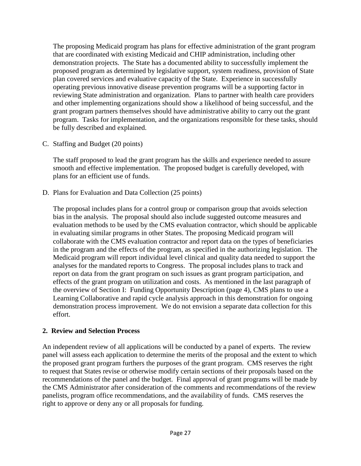The proposing Medicaid program has plans for effective administration of the grant program that are coordinated with existing Medicaid and CHIP administration, including other demonstration projects. The State has a documented ability to successfully implement the proposed program as determined by legislative support, system readiness, provision of State plan covered services and evaluative capacity of the State. Experience in successfully operating previous innovative disease prevention programs will be a supporting factor in reviewing State administration and organization. Plans to partner with health care providers and other implementing organizations should show a likelihood of being successful, and the grant program partners themselves should have administrative ability to carry out the grant program. Tasks for implementation, and the organizations responsible for these tasks, should be fully described and explained.

C. Staffing and Budget (20 points)

The staff proposed to lead the grant program has the skills and experience needed to assure smooth and effective implementation. The proposed budget is carefully developed, with plans for an efficient use of funds.

D. Plans for Evaluation and Data Collection (25 points)

The proposal includes plans for a control group or comparison group that avoids selection bias in the analysis. The proposal should also include suggested outcome measures and evaluation methods to be used by the CMS evaluation contractor, which should be applicable in evaluating similar programs in other States. The proposing Medicaid program will collaborate with the CMS evaluation contractor and report data on the types of beneficiaries in the program and the effects of the program, as specified in the authorizing legislation. The Medicaid program will report individual level clinical and quality data needed to support the analyses for the mandated reports to Congress. The proposal includes plans to track and report on data from the grant program on such issues as grant program participation, and effects of the grant program on utilization and costs. As mentioned in the last paragraph of the overview of Section I: Funding Opportunity Description (page 4), CMS plans to use a Learning Collaborative and rapid cycle analysis approach in this demonstration for ongoing demonstration process improvement. We do not envision a separate data collection for this effort.

## **2. Review and Selection Process**

An independent review of all applications will be conducted by a panel of experts. The review panel will assess each application to determine the merits of the proposal and the extent to which the proposed grant program furthers the purposes of the grant program. CMS reserves the right to request that States revise or otherwise modify certain sections of their proposals based on the recommendations of the panel and the budget. Final approval of grant programs will be made by the CMS Administrator after consideration of the comments and recommendations of the review panelists, program office recommendations, and the availability of funds. CMS reserves the right to approve or deny any or all proposals for funding.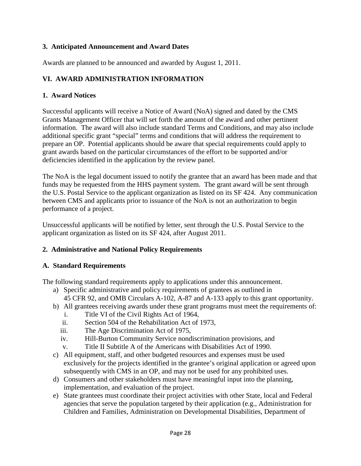## **3. Anticipated Announcement and Award Dates**

Awards are planned to be announced and awarded by August 1, 2011.

## **VI. AWARD ADMINISTRATION INFORMATION**

#### **1. Award Notices**

Successful applicants will receive a Notice of Award (NoA) signed and dated by the CMS Grants Management Officer that will set forth the amount of the award and other pertinent information. The award will also include standard Terms and Conditions, and may also include additional specific grant "special" terms and conditions that will address the requirement to prepare an OP. Potential applicants should be aware that special requirements could apply to grant awards based on the particular circumstances of the effort to be supported and/or deficiencies identified in the application by the review panel.

The NoA is the legal document issued to notify the grantee that an award has been made and that funds may be requested from the HHS payment system. The grant award will be sent through the U.S. Postal Service to the applicant organization as listed on its SF 424. Any communication between CMS and applicants prior to issuance of the NoA is not an authorization to begin performance of a project.

Unsuccessful applicants will be notified by letter, sent through the U.S. Postal Service to the applicant organization as listed on its SF 424, after August 2011.

## **2. Administrative and National Policy Requirements**

#### **A. Standard Requirements**

The following standard requirements apply to applications under this announcement.

- a) Specific administrative and policy requirements of grantees as outlined in 45 CFR 92, and OMB Circulars A-102, A-87 and A-133 apply to this grant opportunity.
- b) All grantees receiving awards under these grant programs must meet the requirements of:
	- i. Title VI of the Civil Rights Act of 1964,
	- ii. Section 504 of the Rehabilitation Act of 1973,
	- iii. The Age Discrimination Act of 1975,
	- iv. Hill-Burton Community Service nondiscrimination provisions, and
	- v. Title II Subtitle A of the Americans with Disabilities Act of 1990.
- c) All equipment, staff, and other budgeted resources and expenses must be used exclusively for the projects identified in the grantee's original application or agreed upon subsequently with CMS in an OP, and may not be used for any prohibited uses.
- d) Consumers and other stakeholders must have meaningful input into the planning, implementation, and evaluation of the project.
- e) State grantees must coordinate their project activities with other State, local and Federal agencies that serve the population targeted by their application (e.g., Administration for Children and Families, Administration on Developmental Disabilities, Department of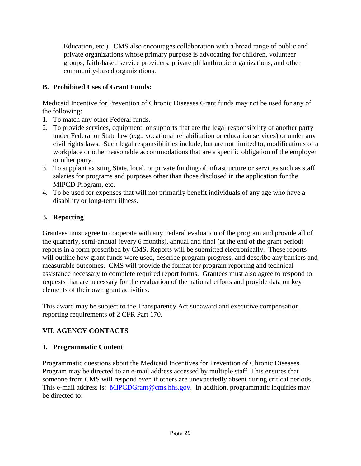Education, etc.). CMS also encourages collaboration with a broad range of public and private organizations whose primary purpose is advocating for children, volunteer groups, faith-based service providers, private philanthropic organizations, and other community-based organizations.

## **B. Prohibited Uses of Grant Funds:**

Medicaid Incentive for Prevention of Chronic Diseases Grant funds may not be used for any of the following:

- 1. To match any other Federal funds.
- 2. To provide services, equipment, or supports that are the legal responsibility of another party under Federal or State law (e.g., vocational rehabilitation or education services) or under any civil rights laws. Such legal responsibilities include, but are not limited to, modifications of a workplace or other reasonable accommodations that are a specific obligation of the employer or other party.
- 3. To supplant existing State, local, or private funding of infrastructure or services such as staff salaries for programs and purposes other than those disclosed in the application for the MIPCD Program, etc.
- 4. To be used for expenses that will not primarily benefit individuals of any age who have a disability or long-term illness.

## **3. Reporting**

Grantees must agree to cooperate with any Federal evaluation of the program and provide all of the quarterly, semi-annual (every 6 months), annual and final (at the end of the grant period) reports in a form prescribed by CMS. Reports will be submitted electronically. These reports will outline how grant funds were used, describe program progress, and describe any barriers and measurable outcomes. CMS will provide the format for program reporting and technical assistance necessary to complete required report forms. Grantees must also agree to respond to requests that are necessary for the evaluation of the national efforts and provide data on key elements of their own grant activities.

This award may be subject to the Transparency Act subaward and executive compensation reporting requirements of 2 CFR Part 170.

# **VII. AGENCY CONTACTS**

## **1. Programmatic Content**

Programmatic questions about the Medicaid Incentives for Prevention of Chronic Diseases Program may be directed to an e-mail address accessed by multiple staff. This ensures that someone from CMS will respond even if others are unexpectedly absent during critical periods. This e-mail address is: [MIPCDGrant@cms.hhs.gov.](mailto:MIPCDGrant@cms.hhs.gov) In addition, programmatic inquiries may be directed to: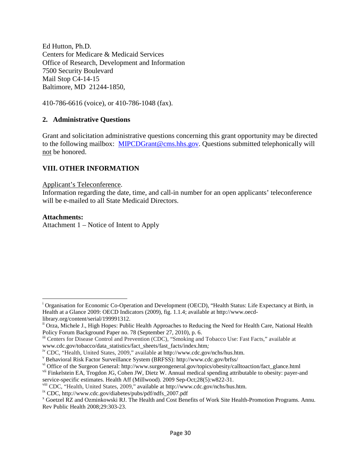Ed Hutton, Ph.D. Centers for Medicare & Medicaid Services Office of Research, Development and Information 7500 Security Boulevard Mail Stop C4-14-15 Baltimore, MD 21244-1850,

410-786-6616 (voice), or 410-786-1048 (fax).

#### **2. Administrative Questions**

Grant and solicitation administrative questions concerning this grant opportunity may be directed to the following mailbox: [MIPCDGrant@cms.hhs.gov.](mailto:MIPCDGrant@cms.hhs.gov) Questions submitted telephonically will not be honored.

#### **VIII. OTHER INFORMATION**

#### Applicant's Teleconference .

Information regarding the date, time, and call-in number for an open applicants' teleconference will be e-mailed to all State Medicaid Directors.

#### **Attachments:**

ı

Attachment 1 – Notice of Intent to Apply

<span id="page-29-0"></span><sup>&</sup>lt;sup>i</sup> Organisation for Economic Co-Operation and Development (OECD), "Health Status: Life Expectancy at Birth, in Health at a Glance 2009: OECD Indicators (2009), fig. 1.1.4; available at http://www.oecdlibrary.org/content/serial/199991312.

<span id="page-29-1"></span>ii Orza, Michele J., High Hopes: Public Health Approaches to Reducing the Need for Health Care, National Health Policy Forum Background Paper no. 78 (September 27, 2010), p. 6.

<span id="page-29-2"></span>iii Centers for Disease Control and Prevention (CDC), "Smoking and Tobacco Use: Fast Facts," available at www.cdc.gov/tobacco/data\_statistics/fact\_sheets/fast\_facts/index.htm*;*

<span id="page-29-3"></span><sup>&</sup>lt;sup>iv</sup> CDC, "Health, United States, 2009," available at [http://www.cdc.gov/nchs/hus.htm.](http://www.cdc.gov/nchs/hus.htm)<br><sup>v</sup> [Behavioral Risk Factor Surveillance System](http://www.cdc.gov/brfss/) (BRFSS): http://www.cdc.gov/brfss/

<span id="page-29-4"></span>

<span id="page-29-5"></span>vi [Office of the Surgeon General:](http://www.surgeongeneral.gov/topics/obesity/calltoaction/fact_glance.html) http://www.surgeongeneral.gov/topics/obesity/calltoaction/fact\_glance.html

<span id="page-29-6"></span>vii Finkelstein EA, Trogdon JG, Cohen JW, Dietz W. Annual medical spending attributable to obesity: payer-and service-specific estimates. Health Aff (Millwood). 2009 Sep-Oct;28(5):w822-31.<br><sup>viii</sup> CDC, "Health, United States, 2009," available at http://www.cdc.gov/nchs/hus.htm.

<span id="page-29-7"></span>

<span id="page-29-9"></span><span id="page-29-8"></span><sup>&</sup>lt;sup>ix</sup> CDC, http://www.cdc.gov/diabetes/pubs/pdf/ndfs\_2007.pdf<br><sup>x</sup> Goetzel RZ and Ozminkowski RJ. The Health and Cost Benefits of Work Site Health-Promotion Programs. Annu. Rev Public Health 2008;29:303-23.